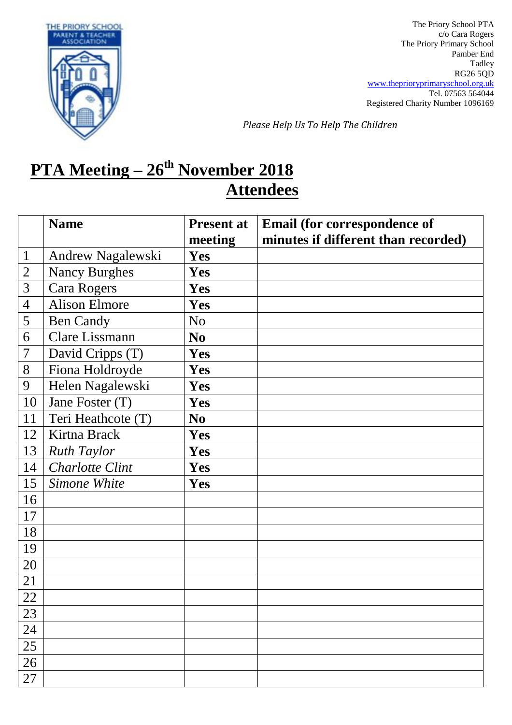

The Priory School PTA c/o Cara Rogers The Priory Primary School Pamber End Tadley RG26 5QD [www.theprioryprimaryschool.org.uk](http://www.theprioryprimaryschool.org.uk/) Tel. 07563 564044 Registered Charity Number 1096169

*Please Help Us To Help The Children*

## **PTA Meeting – 26th November 2018 Attendees**

|                | <b>Name</b>            | <b>Present at</b> | <b>Email (for correspondence of</b> |
|----------------|------------------------|-------------------|-------------------------------------|
|                |                        | meeting           | minutes if different than recorded) |
| $\mathbf{1}$   | Andrew Nagalewski      | Yes               |                                     |
| $\overline{2}$ | <b>Nancy Burghes</b>   | <b>Yes</b>        |                                     |
| 3              | <b>Cara Rogers</b>     | Yes               |                                     |
| $\overline{4}$ | <b>Alison Elmore</b>   | Yes               |                                     |
| 5              | <b>Ben Candy</b>       | N <sub>o</sub>    |                                     |
| 6              | <b>Clare Lissmann</b>  | N <sub>0</sub>    |                                     |
| 7              | David Cripps (T)       | Yes               |                                     |
| 8              | Fiona Holdroyde        | Yes               |                                     |
| 9              | Helen Nagalewski       | Yes               |                                     |
| 10             | Jane Foster (T)        | Yes               |                                     |
| 11             | Teri Heathcote (T)     | N <sub>0</sub>    |                                     |
| 12             | Kirtna Brack           | Yes               |                                     |
| 13             | <b>Ruth Taylor</b>     | Yes               |                                     |
| 14             | <b>Charlotte Clint</b> | Yes               |                                     |
| 15             | Simone White           | Yes               |                                     |
| 16             |                        |                   |                                     |
| 17             |                        |                   |                                     |
| 18             |                        |                   |                                     |
| 19             |                        |                   |                                     |
| 20             |                        |                   |                                     |
| 21             |                        |                   |                                     |
| 22             |                        |                   |                                     |
| 23             |                        |                   |                                     |
| 24             |                        |                   |                                     |
| 25             |                        |                   |                                     |
| 26             |                        |                   |                                     |
| 27             |                        |                   |                                     |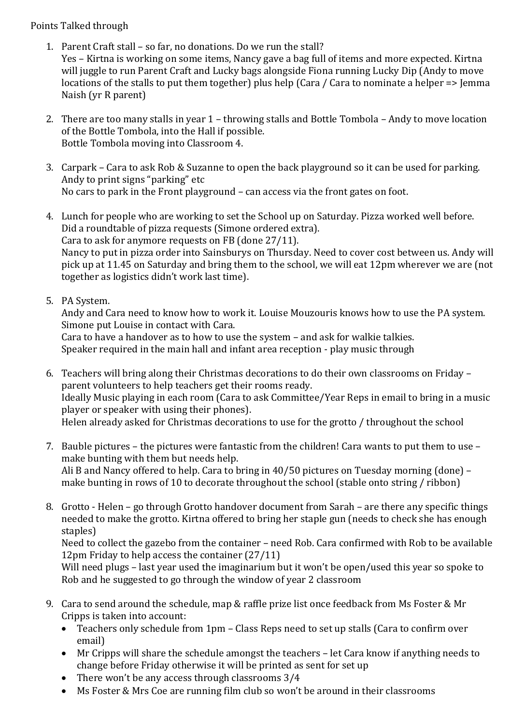## Points Talked through

- 1. Parent Craft stall so far, no donations. Do we run the stall? Yes – Kirtna is working on some items, Nancy gave a bag full of items and more expected. Kirtna will juggle to run Parent Craft and Lucky bags alongside Fiona running Lucky Dip (Andy to move locations of the stalls to put them together) plus help (Cara / Cara to nominate a helper => Jemma Naish (yr R parent)
- 2. There are too many stalls in year 1 throwing stalls and Bottle Tombola Andy to move location of the Bottle Tombola, into the Hall if possible. Bottle Tombola moving into Classroom 4.
- 3. Carpark Cara to ask Rob & Suzanne to open the back playground so it can be used for parking. Andy to print signs "parking" etc No cars to park in the Front playground – can access via the front gates on foot.
- 4. Lunch for people who are working to set the School up on Saturday. Pizza worked well before. Did a roundtable of pizza requests (Simone ordered extra). Cara to ask for anymore requests on FB (done 27/11). Nancy to put in pizza order into Sainsburys on Thursday. Need to cover cost between us. Andy will pick up at 11.45 on Saturday and bring them to the school, we will eat 12pm wherever we are (not together as logistics didn't work last time).
- 5. PA System.

Andy and Cara need to know how to work it. Louise Mouzouris knows how to use the PA system. Simone put Louise in contact with Cara.

Cara to have a handover as to how to use the system – and ask for walkie talkies. Speaker required in the main hall and infant area reception - play music through

- 6. Teachers will bring along their Christmas decorations to do their own classrooms on Friday parent volunteers to help teachers get their rooms ready. Ideally Music playing in each room (Cara to ask Committee/Year Reps in email to bring in a music player or speaker with using their phones). Helen already asked for Christmas decorations to use for the grotto / throughout the school
- 7. Bauble pictures the pictures were fantastic from the children! Cara wants to put them to use make bunting with them but needs help. Ali B and Nancy offered to help. Cara to bring in 40/50 pictures on Tuesday morning (done) – make bunting in rows of 10 to decorate throughout the school (stable onto string / ribbon)
- 8. Grotto Helen go through Grotto handover document from Sarah are there any specific things needed to make the grotto. Kirtna offered to bring her staple gun (needs to check she has enough staples)

Need to collect the gazebo from the container – need Rob. Cara confirmed with Rob to be available 12pm Friday to help access the container (27/11)

Will need plugs – last year used the imaginarium but it won't be open/used this year so spoke to Rob and he suggested to go through the window of year 2 classroom

- 9. Cara to send around the schedule, map & raffle prize list once feedback from Ms Foster & Mr Cripps is taken into account:
	- Teachers only schedule from 1pm Class Reps need to set up stalls (Cara to confirm over email)
	- Mr Cripps will share the schedule amongst the teachers let Cara know if anything needs to change before Friday otherwise it will be printed as sent for set up
	- There won't be any access through classrooms 3/4
	- Ms Foster & Mrs Coe are running film club so won't be around in their classrooms